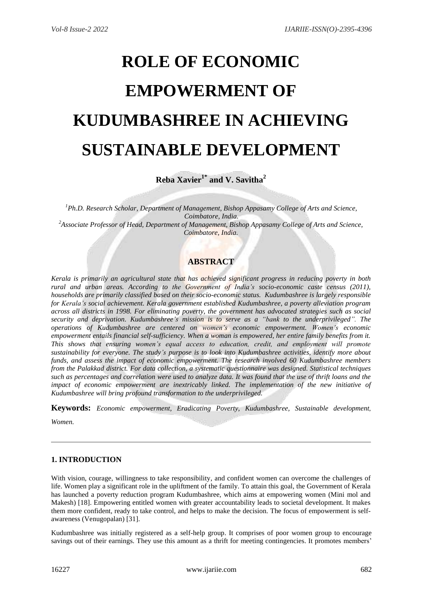# **ROLE OF ECONOMIC EMPOWERMENT OF KUDUMBASHREE IN ACHIEVING SUSTAINABLE DEVELOPMENT**

**Reba Xavier1\* and V. Savitha<sup>2</sup>**

*<sup>1</sup>Ph.D. Research Scholar, Department of Management, Bishop Appasamy College of Arts and Science, Coimbatore, India. <sup>2</sup>Associate Professor of Head, Department of Management, Bishop Appasamy College of Arts and Science, Coimbatore, India.*

# **ABSTRACT**

*Kerala is primarily an agricultural state that has achieved significant progress in reducing poverty in both rural and urban areas. According to the Government of India's socio-economic caste census (2011), households are primarily classified based on their socio-economic status. Kudumbashree is largely responsible for Kerala's social achievement. Kerala government established Kudumbashree, a poverty alleviation program across all districts in 1998. For eliminating poverty, the government has advocated strategies such as social security and deprivation. Kudumbashree's mission is to serve as a "bank to the underprivileged". The operations of Kudumbashree are centered on women's economic empowerment. Women's economic empowerment entails financial self-sufficiency. When a woman is empowered, her entire family benefits from it. This shows that ensuring women's equal access to education, credit, and employment will promote sustainability for everyone. The study's purpose is to look into Kudumbashree activities, identify more about funds, and assess the impact of economic empowerment. The research involved 60 Kudumbashree members from the Palakkad district. For data collection, a systematic questionnaire was designed. Statistical techniques such as percentages and correlation were used to analyze data. It was found that the use of thrift loans and the impact of economic empowerment are inextricably linked. The implementation of the new initiative of Kudumbashree will bring profound transformation to the underprivileged.* 

**Keywords:** *Economic empowerment, Eradicating Poverty, Kudumbashree, Sustainable development*,

*Women.*

# **1. INTRODUCTION**

With vision, courage, willingness to take responsibility, and confident women can overcome the challenges of life. Women play a significant role in the upliftment of the family. To attain this goal, the Government of Kerala has launched a poverty reduction program Kudumbashree, which aims at empowering women (Mini mol and Makesh) [18]. Empowering entitled women with greater accountability leads to societal development. It makes them more confident, ready to take control, and helps to make the decision. The focus of empowerment is selfawareness (Venugopalan) [31].

Kudumbashree was initially registered as a self-help group. It comprises of poor women group to encourage savings out of their earnings. They use this amount as a thrift for meeting contingencies. It promotes members'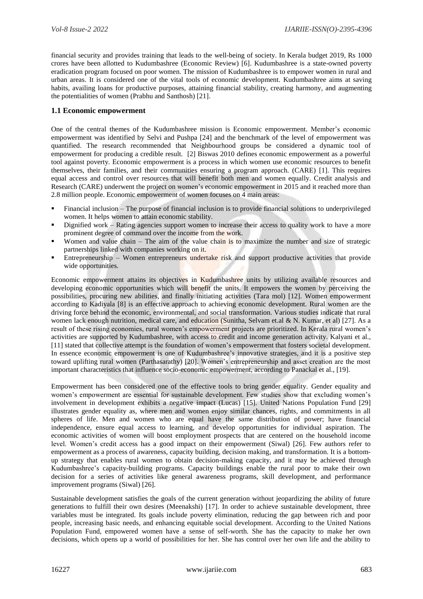financial security and provides training that leads to the well-being of society. In Kerala budget 2019, Rs 1000 crores have been allotted to Kudumbashree (Economic Review) [6]. Kudumbashree is a state-owned poverty eradication program focused on poor women. The mission of Kudumbashree is to empower women in rural and urban areas. It is considered one of the vital tools of economic development. Kudumbashree aims at saving habits, availing loans for productive purposes, attaining financial stability, creating harmony, and augmenting the potentialities of women (Prabhu and Santhosh) [21].

## **1.1 Economic empowerment**

One of the central themes of the Kudumbashree mission is Economic empowerment. Member's economic empowerment was identified by Selvi and Pushpa [24] and the benchmark of the level of empowerment was quantified. The research recommended that Neighbourhood groups be considered a dynamic tool of empowerment for producing a credible result. [2] Biswas 2010 defines economic empowerment as a powerful tool against poverty. Economic empowerment is a process in which women use economic resources to benefit themselves, their families, and their communities ensuring a program approach. (CARE) [1]. This requires equal access and control over resources that will benefit both men and women equally. Credit analysis and Research (CARE) underwent the project on women's economic empowerment in 2015 and it reached more than 2.8 million people. Economic empowerment of women focuses on 4 main areas:

- Financial inclusion The purpose of financial inclusion is to provide financial solutions to underprivileged women. It helps women to attain economic stability.
- Dignified work Rating agencies support women to increase their access to quality work to have a more prominent degree of command over the income from the work.
- Women and value chain The aim of the value chain is to maximize the number and size of strategic partnerships linked with companies working on it.
- Entrepreneurship Women entrepreneurs undertake risk and support productive activities that provide wide opportunities.

Economic empowerment attains its objectives in Kudumbashree units by utilizing available resources and developing economic opportunities which will benefit the units. It empowers the women by perceiving the possibilities, procuring new abilities, and finally initiating activities (Tara mol) [12]. Women empowerment according to Kadiyala [8] is an effective approach to achieving economic development. Rural women are the driving force behind the economic, environmental, and social transformation. Various studies indicate that rural women lack enough nutrition, medical care, and education (Sunitha, Selvam et.al & N. Kumar, et al) [27]. As a result of these rising economies, rural women's empowerment projects are prioritized. In Kerala rural women's activities are supported by Kudumbashree, with access to credit and income generation activity. Kalyani et al., [11] stated that collective attempt is the foundation of women's empowerment that fosters societal development. In essence economic empowerment is one of Kudumbashree's innovative strategies, and it is a positive step toward uplifting rural women (Parthasarathy) [20]. Women's entrepreneurship and asset creation are the most important characteristics that influence socio-economic empowerment, according to Panackal et al., [19].

Empowerment has been considered one of the effective tools to bring gender equality. Gender equality and women's empowerment are essential for sustainable development. Few studies show that excluding women's involvement in development exhibits a negative impact (Lucas) [15]. United Nations Population Fund [29] illustrates gender equality as, where men and women enjoy similar chances, rights, and commitments in all spheres of life. Men and women who are equal have the same distribution of power; have financial independence, ensure equal access to learning, and develop opportunities for individual aspiration. The economic activities of women will boost employment prospects that are centered on the household income level. Women's credit access has a good impact on their empowerment (Siwal) [26]. Few authors refer to empowerment as a process of awareness, capacity building, decision making, and transformation. It is a bottomup strategy that enables rural women to obtain decision-making capacity, and it may be achieved through Kudumbashree's capacity-building programs. Capacity buildings enable the rural poor to make their own decision for a series of activities like general awareness programs, skill development, and performance improvement programs (Siwal) [26].

Sustainable development satisfies the goals of the current generation without jeopardizing the ability of future generations to fulfill their own desires (Meenakshi) [17]. In order to achieve sustainable development, three variables must be integrated. Its goals include poverty elimination, reducing the gap between rich and poor people, increasing basic needs, and enhancing equitable social development. According to the United Nations Population Fund, empowered women have a sense of self-worth. She has the capacity to make her own decisions, which opens up a world of possibilities for her. She has control over her own life and the ability to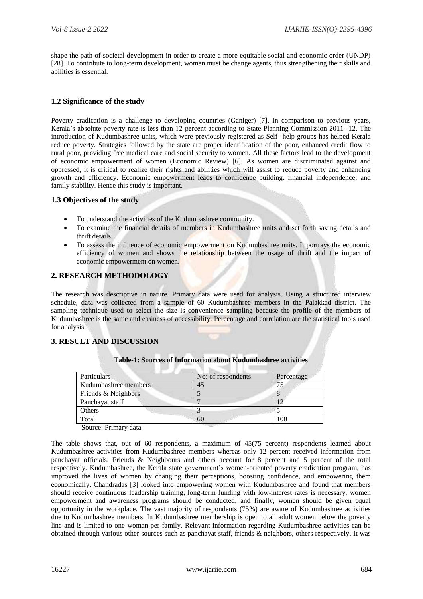shape the path of societal development in order to create a more equitable social and economic order (UNDP) [28]. To contribute to long-term development, women must be change agents, thus strengthening their skills and abilities is essential.

## **1.2 Significance of the study**

Poverty eradication is a challenge to developing countries (Ganiger) [7]. In comparison to previous years, Kerala's absolute poverty rate is less than 12 percent according to State Planning Commission 2011 -12. The introduction of Kudumbashree units, which were previously registered as Self -help groups has helped Kerala reduce poverty. Strategies followed by the state are proper identification of the poor, enhanced credit flow to rural poor, providing free medical care and social security to women. All these factors lead to the development of economic empowerment of women (Economic Review) [6]. As women are discriminated against and oppressed, it is critical to realize their rights and abilities which will assist to reduce poverty and enhancing growth and efficiency. Economic empowerment leads to confidence building, financial independence, and family stability. Hence this study is important.

#### **1.3 Objectives of the study**

- To understand the activities of the Kudumbashree community.
- To examine the financial details of members in Kudumbashree units and set forth saving details and thrift details.
- To assess the influence of economic empowerment on Kudumbashree units. It portrays the economic efficiency of women and shows the relationship between the usage of thrift and the impact of economic empowerment on women.

# **2. RESEARCH METHODOLOGY**

The research was descriptive in nature. Primary data were used for analysis. Using a structured interview schedule, data was collected from a sample of 60 Kudumbashree members in the Palakkad district. The sampling technique used to select the size is convenience sampling because the profile of the members of Kudumbashree is the same and easiness of accessibility. Percentage and correlation are the statistical tools used for analysis.

#### **3. RESULT AND DISCUSSION**

| Particulars          | No: of respondents | Percentage |  |
|----------------------|--------------------|------------|--|
| Kudumbashree members | 45                 |            |  |
| Friends & Neighbors  |                    |            |  |
| Panchayat staff      |                    |            |  |
| Others               |                    |            |  |
| Total                | 60                 | 100        |  |

#### **Table-1: Sources of Information about Kudumbashree activities**

Source: Primary data

The table shows that, out of 60 respondents, a maximum of 45(75 percent) respondents learned about Kudumbashree activities from Kudumbashree members whereas only 12 percent received information from panchayat officials. Friends & Neighbours and others account for 8 percent and 5 percent of the total respectively. Kudumbashree, the Kerala state government's women-oriented poverty eradication program, has improved the lives of women by changing their perceptions, boosting confidence, and empowering them economically. Chandradas [3] looked into empowering women with Kudumbashree and found that members should receive continuous leadership training, long-term funding with low-interest rates is necessary, women empowerment and awareness programs should be conducted, and finally, women should be given equal opportunity in the workplace. The vast majority of respondents (75%) are aware of Kudumbashree activities due to Kudumbashree members. In Kudumbashree membership is open to all adult women below the poverty line and is limited to one woman per family. Relevant information regarding Kudumbashree activities can be obtained through various other sources such as panchayat staff, friends & neighbors, others respectively. It was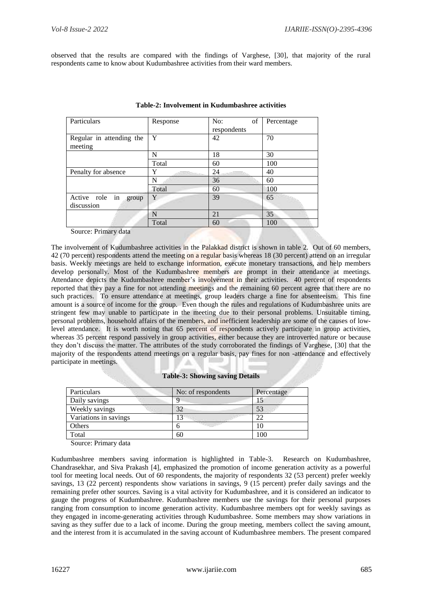observed that the results are compared with the findings of Varghese, [30], that majority of the rural respondents came to know about Kudumbashree activities from their ward members.

| Particulars                           | Response | of<br>No:   | Percentage |
|---------------------------------------|----------|-------------|------------|
|                                       |          | respondents |            |
| Regular in attending the<br>meeting   | Y        | 42          | 70         |
|                                       | N        | 18          | 30         |
|                                       | Total    | 60          | 100        |
| Penalty for absence                   | Y        | 24          | 40         |
|                                       | N        | 36          | 60         |
|                                       | Total    | 60          | 100        |
| Active role in<br>group<br>discussion | Y        | 39          | 65         |
|                                       | N        | 21          | 35         |
| $\alpha$ $\mathbf{n}$ $\mathbf{1}$    | Total    | 60          | 100        |

#### **Table-2: Involvement in Kudumbashree activities**

Source: Primary data

The involvement of Kudumbashree activities in the Palakkad district is shown in table 2. Out of 60 members, 42 (70 percent) respondents attend the meeting on a regular basis whereas 18 (30 percent) attend on an irregular basis. Weekly meetings are held to exchange information, execute monetary transactions, and help members develop personally. Most of the Kudumbashree members are prompt in their attendance at meetings. Attendance depicts the Kudumbashree member's involvement in their activities. 40 percent of respondents reported that they pay a fine for not attending meetings and the remaining 60 percent agree that there are no such practices. To ensure attendance at meetings, group leaders charge a fine for absenteeism. This fine amount is a source of income for the group. Even though the rules and regulations of Kudumbashree units are stringent few may unable to participate in the meeting due to their personal problems. Unsuitable timing, personal problems, household affairs of the members, and inefficient leadership are some of the causes of lowlevel attendance. It is worth noting that 65 percent of respondents actively participate in group activities, whereas 35 percent respond passively in group activities, either because they are introverted nature or because they don't discuss the matter. The attributes of the study corroborated the findings of Varghese, [30] that the majority of the respondents attend meetings on a regular basis, pay fines for non -attendance and effectively participate in meetings.

#### **Table-3: Showing saving Details**

| Particulars           | No: of respondents | Percentage |
|-----------------------|--------------------|------------|
| Daily savings         |                    |            |
| Weekly savings        | 32                 | 53         |
| Variations in savings | 13                 | 22         |
| Others                |                    | 10         |
| Total                 | 60                 | 100        |
|                       |                    |            |

Source: Primary data

Kudumbashree members saving information is highlighted in Table-3. Research on Kudumbashree, Chandrasekhar, and Siva Prakash [4], emphasized the promotion of income generation activity as a powerful tool for meeting local needs. Out of 60 respondents, the majority of respondents 32 (53 percent) prefer weekly savings, 13 (22 percent) respondents show variations in savings, 9 (15 percent) prefer daily savings and the remaining prefer other sources. Saving is a vital activity for Kudumbashree, and it is considered an indicator to gauge the progress of Kudumbashree. Kudumbashree members use the savings for their personal purposes ranging from consumption to income generation activity. Kudumbashree members opt for weekly savings as they engaged in income-generating activities through Kudumbashree. Some members may show variations in saving as they suffer due to a lack of income. During the group meeting, members collect the saving amount, and the interest from it is accumulated in the saving account of Kudumbashree members. The present compared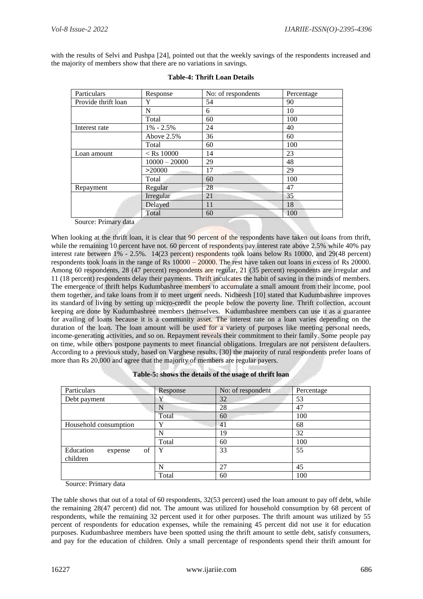with the results of Selvi and Pushpa [24], pointed out that the weekly savings of the respondents increased and the majority of members show that there are no variations in savings.

| Particulars         | Response               | No: of respondents      | Percentage |
|---------------------|------------------------|-------------------------|------------|
| Provide thrift loan | Y                      | 54                      | 90         |
|                     | N                      | 6                       | 10         |
|                     | Total                  | 60                      | 100        |
| Interest rate       | $1\% - 2.5\%$          | 24                      | 40         |
|                     | Above 2.5%             | 36                      | 60         |
|                     | Total                  | 60                      | 100        |
| Loan amount         | $<$ Rs 10000           | 14                      | 23         |
|                     | $10000 - 20000$        | 29                      | 48         |
|                     | >20000<br>a folklingen | 17<br>and all the state | 29         |
|                     | Total                  | 60                      | 100        |
| Repayment           | Regular                | 28                      | 47         |
|                     | Irregular              | 21                      | 35         |
|                     | Delayed                | 11                      | 18         |
|                     | Total                  | 60                      | 100        |

| <b>Table-4: Thrift Loan Details</b> |  |  |  |
|-------------------------------------|--|--|--|
|-------------------------------------|--|--|--|

Source: Primary data

When looking at the thrift loan, it is clear that 90 percent of the respondents have taken out loans from thrift, while the remaining 10 percent have not. 60 percent of respondents pay interest rate above 2.5% while 40% pay interest rate between 1% - 2.5%. 14(23 percent) respondents took loans below Rs 10000, and 29(48 percent) respondents took loans in the range of Rs 10000 – 20000. The rest have taken out loans in excess of Rs 20000. Among 60 respondents, 28 (47 percent) respondents are regular, 21 (35 percent) respondents are irregular and 11 (18 percent) respondents delay their payments. Thrift inculcates the habit of saving in the minds of members. The emergence of thrift helps Kudumbashree members to accumulate a small amount from their income, pool them together, and take loans from it to meet urgent needs. Nidheesh [10] stated that Kudumbashree improves its standard of living by setting up micro-credit the people below the poverty line. Thrift collection, account keeping are done by Kudumbashree members themselves. Kudumbashree members can use it as a guarantee for availing of loans because it is a community asset. The interest rate on a loan varies depending on the duration of the loan. The loan amount will be used for a variety of purposes like meeting personal needs, income-generating activities, and so on. Repayment reveals their commitment to their family. Some people pay on time, while others postpone payments to meet financial obligations. Irregulars are not persistent defaulters. According to a previous study, based on Varghese results, [30] the majority of rural respondents prefer loans of more than Rs 20,000 and agree that the majority of members are regular payers.

|  |  | Table-5: shows the details of the usage of thrift loan |
|--|--|--------------------------------------------------------|
|--|--|--------------------------------------------------------|

**Factor** 

| Particulars                            | Response | No: of respondent | Percentage |
|----------------------------------------|----------|-------------------|------------|
| Debt payment                           | Y        | 32                | 53         |
|                                        | N        | 28                | 47         |
|                                        | Total    | 60                | 100        |
| Household consumption                  | v        | 41                | 68         |
|                                        | N        | 19                | 32         |
|                                        | Total    | 60                | 100        |
| Education<br>of<br>expense<br>children | Y        | 33                | 55         |
|                                        | N        | 27                | 45         |
|                                        | Total    | 60                | 100        |

Source: Primary data

The table shows that out of a total of 60 respondents, 32(53 percent) used the loan amount to pay off debt, while the remaining 28(47 percent) did not. The amount was utilized for household consumption by 68 percent of respondents, while the remaining 32 percent used it for other purposes. The thrift amount was utilized by 55 percent of respondents for education expenses, while the remaining 45 percent did not use it for education purposes. Kudumbashree members have been spotted using the thrift amount to settle debt, satisfy consumers, and pay for the education of children. Only a small percentage of respondents spend their thrift amount for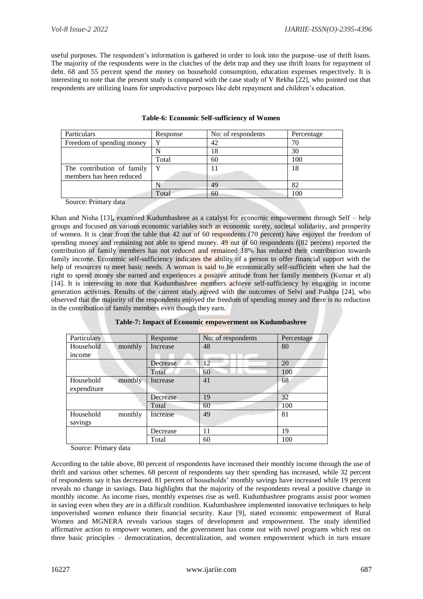useful purposes. The respondent's information is gathered in order to look into the purpose–use of thrift loans. The majority of the respondents were in the clutches of the debt trap and they use thrift loans for repayment of debt. 68 and 55 percent spend the money on household consumption, education expenses respectively. It is interesting to note that the present study is compared with the case study of V Rekha [22], who pointed out that respondents are utilizing loans for unproductive purposes like debt repayment and children's education.

| Particulars                | Response | No: of respondents | Percentage |
|----------------------------|----------|--------------------|------------|
| Freedom of spending money  |          | 42                 | 70         |
|                            |          | 18                 | 30         |
|                            | Total    | 60                 | 100        |
| The contribution of family |          |                    | 18         |
| members has been reduced   |          |                    |            |
|                            |          | 49                 | 82         |
|                            | Total    | 60                 | 100        |

#### **Table-6: Economic Self-sufficiency of Women**

Source: Primary data

Khan and Nisha [13]**,** examined Kudumbashree as a catalyst for economic empowerment through Self – help groups and focused on various economic variables such as economic surety, societal solidarity, and prosperity of women. It is clear from the table that 42 out of 60 respondents (70 percent) have enjoyed the freedom of spending money and remaining not able to spend money. 49 out of 60 respondents ((82 percent) reported the contribution of family members has not reduced and remained 18% has reduced their contribution towards family income. Economic self-sufficiency indicates the ability of a person to offer financial support with the help of resources to meet basic needs. A woman is said to be economically self-sufficient when she had the right to spend money she earned and experiences a positive attitude from her family members (Kumar et al) [14]. It is interesting to note that Kudumbashree members achieve self-sufficiency by engaging in income generation activities. Results of the current study agreed with the outcomes of Selvi and Pushpa [24], who observed that the majority of the respondents enjoyed the freedom of spending money and there is no reduction in the contribution of family members even though they earn.

| Particulars |         | Response | No: of respondents | Percentage |
|-------------|---------|----------|--------------------|------------|
| Household   | monthly | Increase | 48                 | 80         |
| income      |         |          |                    |            |
|             |         | Decrease | 12                 | 20         |
|             |         | Total    | 60                 | 100        |
| Household   | monthly | Increase | 41                 | 68         |
| expenditure |         |          |                    |            |
|             |         | Decrease | 19                 | 32         |
|             |         | Total    | 60                 | 100        |
| Household   | monthly | Increase | 49                 | 81         |
| savings     |         |          |                    |            |
|             |         | Decrease | 11                 | 19         |
|             |         | Total    | 60                 | 100        |
|             |         |          |                    |            |

#### **Table-7: Impact of Economic empowerment on Kudumbashree**

Source: Primary data

According to the table above, 80 percent of respondents have increased their monthly income through the use of thrift and various other schemes. 68 percent of respondents say their spending has increased, while 32 percent of respondents say it has decreased. 81 percent of households' monthly savings have increased while 19 percent reveals no change in savings. Data highlights that the majority of the respondents reveal a positive change in monthly income. As income rises, monthly expenses rise as well. Kudumbashree programs assist poor women in saving even when they are in a difficult condition. Kudumbashree implemented innovative techniques to help impoverished women enhance their financial security. Kaur [9], stated economic empowerment of Rural Women and MGNERA reveals various stages of development and empowerment. The study identified affirmative action to empower women, and the government has come out with novel programs which rest on three basic principles – democratization, decentralization, and women empowerment which in turn ensure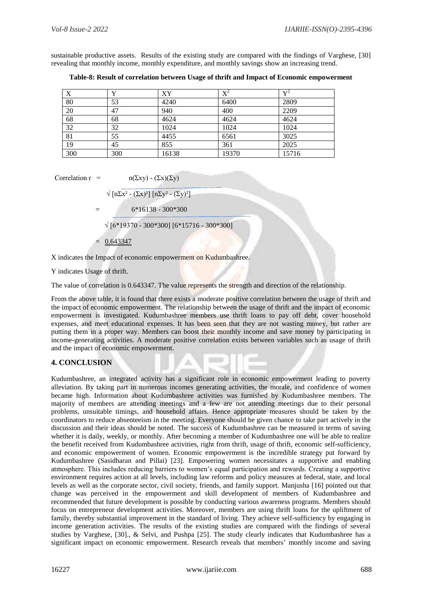sustainable productive assets. Results of the existing study are compared with the findings of Varghese, [30] revealing that monthly income, monthly expenditure, and monthly savings show an increasing trend.

**Table-8: Result of correlation between Usage of thrift and Impact of Economic empowerment**

| X   | v   | XY    | $X^2$ | $\mathbf{v}^2$ |
|-----|-----|-------|-------|----------------|
| 80  | 53  | 4240  | 6400  | 2809           |
| 20  | 47  | 940   | 400   | 2209           |
| 68  | 68  | 4624  | 4624  | 4624           |
| 32  | 32  | 1024  | 1024  | 1024           |
| 81  | 55  | 4455  | 6561  | 3025           |
| 19  | 45  | 855   | 361   | 2025           |
| 300 | 300 | 16138 | 19370 | 15716          |

Correlation 
$$
r = n(\Sigma xy) - (\Sigma x)(\Sigma x)
$$

$$
\sqrt{\left[\text{n}\Sigma x^2-(\Sigma x)^2\right]\left[\text{n}\Sigma y^2-(\Sigma y)^2\right]}
$$

$$
= 6*16138 - 300*300
$$

√ [6\*19370 - 300\*300] [6\*15716 - 300\*300]

0.643347

X indicates the Impact of economic empowerment on Kudumbashree.

Y indicates Usage of thrift.

The value of correlation is 0.643347. The value represents the strength and direction of the relationship.

From the above table, it is found that there exists a moderate positive correlation between the usage of thrift and the impact of economic empowerment. The relationship between the usage of thrift and the impact of economic empowerment is investigated. Kudumbashree members use thrift loans to pay off debt, cover household expenses, and meet educational expenses. It has been seen that they are not wasting money, but rather are putting them in a proper way. Members can boost their monthly income and save money by participating in income-generating activities. A moderate positive correlation exists between variables such as usage of thrift and the impact of economic empowerment.

# **4. CONCLUSION**

Kudumbashree, an integrated activity has a significant role in economic empowerment leading to poverty alleviation. By taking part in numerous incomes generating activities, the morale, and confidence of women became high. Information about Kudumbashree activities was furnished by Kudumbashree members. The majority of members are attending meetings and a few are not attending meetings due to their personal problems, unsuitable timings, and household affairs. Hence appropriate measures should be taken by the coordinators to reduce absenteeism in the meeting. Everyone should be given chance to take part actively in the discussion and their ideas should be noted. The success of Kudumbashree can be measured in terms of saving whether it is daily, weekly, or monthly. After becoming a member of Kudumbashree one will be able to realize the benefit received from Kudumbashree activities, right from thrift, usage of thrift, economic self-sufficiency, and economic empowerment of women. Economic empowerment is the incredible strategy put forward by Kudumbashree (Sasidharan and Pillai) [23]. Empowering women necessitates a supportive and enabling atmosphere. This includes reducing barriers to women's equal participation and rewards. Creating a supportive environment requires action at all levels, including law reforms and policy measures at federal, state, and local levels as well as the corporate sector, civil society, friends, and family support. Manjusha [16] pointed out that change was perceived in the empowerment and skill development of members of Kudumbashree and recommended that future development is possible by conducting various awareness programs. Members should focus on entrepreneur development activities. Moreover, members are using thrift loans for the upliftment of family, thereby substantial improvement in the standard of living. They achieve self-sufficiency by engaging in income generation activities. The results of the existing studies are compared with the findings of several studies by Varghese, [30]., & Selvi, and Pushpa [25]. The study clearly indicates that Kudumbashree has a significant impact on economic empowerment. Research reveals that members' monthly income and saving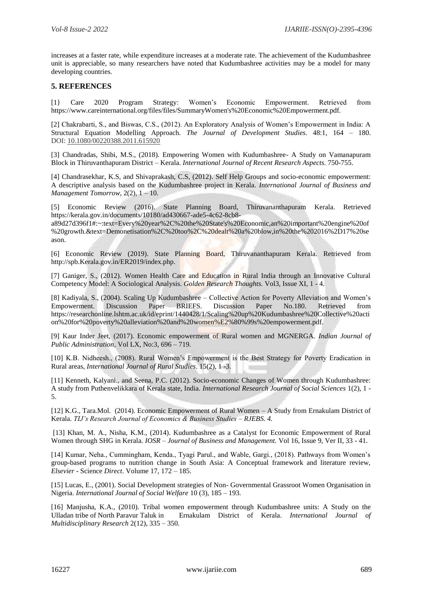increases at a faster rate, while expenditure increases at a moderate rate. The achievement of the Kudumbashree unit is appreciable, so many researchers have noted that Kudumbashree activities may be a model for many developing countries.

#### **5. REFERENCES**

[1} Care 2020 Program Strategy: Women's Economic Empowerment. Retrieved from https://www.careinternational.org/files/files/SummaryWomen's%20Economic%20Empowerment.pdf.

[2] Chakrabarti, S., and Biswas, C.S., (2012). An Exploratory Analysis of Women's Empowerment in India: A Structural Equation Modelling Approach. *The Journal of Development Studies*. 48:1, 164 – 180. DOI: [10.1080/00220388.2011.615920](https://doi.org/10.1080/00220388.2011.615920)

[3] Chandradas, Shibi, M.S., (2018). Empowering Women with Kudumbashree- A Study on Vamanapuram Block in Thiruvanthapuram District – Kerala. *International Journal of Recent Research Aspects*. 750-755.

[4] Chandrasekhar, K.S, and Shivaprakash, C.S, (2012). Self Help Groups and socio-economic empowerment: A descriptive analysis based on the Kudumbashree project in Kerala. *International Journal of Business and Management Tomorrow*, 2(2), 1 – 10.

[5] Economic Review (2016). State Planning Board, Thiruvananthapuram Kerala. Retrieved https://kerala.gov.in/documents/10180/ad430667-ade5-4c62-8cb8-

a89d27d396f1#:~:text=Every%20year%2C%20the%20State's%20Economic,an%20important%20engine%20of %20growth.&text=Demonetisation%2C%20too%2C%20dealt%20a%20blow,in%20the%202016%2D17%20se ason.

[6] Economic Review (2019). State Planning Board, Thiruvananthapuram Kerala. Retrieved from http://spb.Kerala.gov.in/ER2019/index.php.

[7] Ganiger, S., (2012). Women Health Care and Education in Rural India through an Innovative Cultural Competency Model: A Sociological Analysis. *Golden Research Thoughts.* Vol3, Issue XI, 1 - 4.

[8] Kadiyala, S., (2004). Scaling Up Kudumbashree – Collective Action for Poverty Alleviation and Women's Empowerment. Discussion Paper BRIEFS. Discussion Paper No.180. Retrieved from https://researchonline.lshtm.ac.uk/id/eprint/1440428/1/Scaling%20up%20Kudumbashree%20Collective%20acti on%20for%20poverty%20alleviation%20and%20women%E2%80%99s%20empowerment.pdf.

[9] Kaur Inder Jeet, (2017). Economic empowerment of Rural women and MGNERGA. *Indian Journal of Public Administration*, Vol LX, No:3, 696 – 719.

[10] K.B. Nidheesh., (2008). Rural Women's Empowerment is the Best Strategy for Poverty Eradication in Rural areas, *International Journal of Rural Studies*. 15(2), 1 -3.

[11] Kenneth, Kalyani., and Seena, P.C. (2012). Socio-economic Changes of Women through Kudumbashree: A study from Puthenvelikkara of Kerala state, India. *International Research Journal of Social Sciences* 1(2), 1 - 5.

[12] K.G., Tara.Mol. (2014). Economic Empowerment of Rural Women – A Study from Ernakulam District of Kerala. *TIJ's Research Journal of Economics & Business Studies – RJEBS. 4.* 

[13] Khan, M. A., Nisha, K.M., (2014). Kudumbashree as a Catalyst for Economic Empowerment of Rural Women through SHG in Kerala. *IOSR – Journal of Business and Management.* Vol 16, Issue 9, Ver II, 33 - 41.

[14] Kumar, Neha., Cummingham, Kenda., Tyagi Parul., and Wable, Gargi., (2018). Pathways from Women's group-based programs to nutrition change in South Asia: A Conceptual framework and literature review, *Elsevier* - Science *Direct*. Volume 17, 172 – 185.

[15] Lucas, E., (2001). Social Development strategies of Non- Governmental Grassroot Women Organisation in Nigeria. *International Journal of Social Welfare* 10 (3), 185 – 193.

[16] Manjusha, K.A., (2010). Tribal women empowerment through Kudumbashree units: A Study on the Ulladan tribe of North Paravur Taluk in Ernakulam District of Kerala. *International Journal of Multidisciplinary Research* 2(12), 335 – 350.